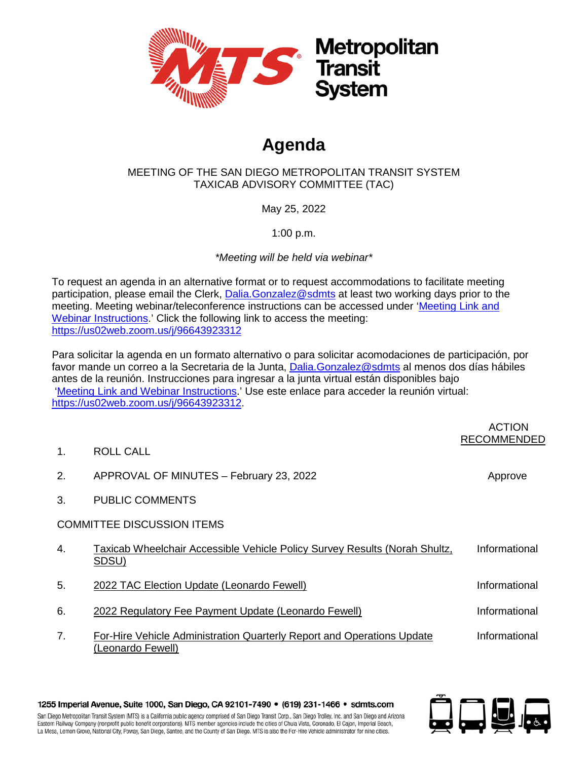

## **Agenda**

## MEETING OF THE SAN DIEGO METROPOLITAN TRANSIT SYSTEM TAXICAB ADVISORY COMMITTEE (TAC)

May 25, 2022

1:00 p.m.

*\*Meeting will be held via webinar\**

To request an agenda in an alternative format or to request accommodations to facilitate meeting participation, please email the Clerk, Dalia. Gonzalez@sdmts at least two working days prior to the meeting. Meeting webinar/teleconference instructions can be accessed under ['Meeting Link and](https://www.sdmts.com/about-mts-meetings-and-agendas/other-committee)  [Webinar Instructions.](https://www.sdmts.com/about-mts-meetings-and-agendas/other-committee)' Click the following link to access the meeting: <https://us02web.zoom.us/j/96643923312>

Para solicitar la agenda en un formato alternativo o para solicitar acomodaciones de participación, por favor mande un correo a la Secretaria de la Junta, [Dalia.Gonzalez@sdmts](mailto:Dalia.Gonzalez@sdmts) al menos dos días hábiles antes de la reunión. Instrucciones para ingresar a la junta virtual están disponibles bajo ['Meeting Link and Webinar Instructions.](https://www.sdmts.com/about-mts-meetings-and-agendas/other-committee)' Use este enlace para acceder la reunión virtual: [https://us02web.zoom.us/j/96643923312.](https://us02web.zoom.us/j/96643923312)

|                |                                                                                             | <b>ACTION</b><br><b>RECOMMENDED</b> |
|----------------|---------------------------------------------------------------------------------------------|-------------------------------------|
| $\mathbf{1}$ . | ROLL CALL                                                                                   |                                     |
| 2.             | APPROVAL OF MINUTES - February 23, 2022                                                     | Approve                             |
| 3.             | <b>PUBLIC COMMENTS</b>                                                                      |                                     |
|                | <b>COMMITTEE DISCUSSION ITEMS</b>                                                           |                                     |
| 4.             | Taxicab Wheelchair Accessible Vehicle Policy Survey Results (Norah Shultz,<br>SDSU)         | Informational                       |
| 5.             | 2022 TAC Election Update (Leonardo Fewell)                                                  | Informational                       |
| 6.             | 2022 Regulatory Fee Payment Update (Leonardo Fewell)                                        | Informational                       |
| 7 <sub>1</sub> | For-Hire Vehicle Administration Quarterly Report and Operations Update<br>(Leonardo Fewell) | Informational                       |